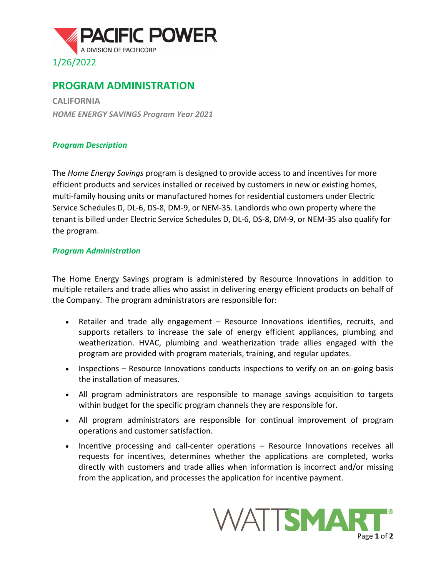

## **PROGRAM ADMINISTRATION**

**CALIFORNIA** *HOME ENERGY SAVINGS Program Year 2021*

## *Program Description*

The *Home Energy Savings* program is designed to provide access to and incentives for more efficient products and services installed or received by customers in new or existing homes, multi-family housing units or manufactured homes for residential customers under Electric Service Schedules D, DL-6, DS-8, DM-9, or NEM-35. Landlords who own property where the tenant is billed under Electric Service Schedules D, DL-6, DS-8, DM-9, or NEM-35 also qualify for the program.

## *Program Administration*

The Home Energy Savings program is administered by Resource Innovations in addition to multiple retailers and trade allies who assist in delivering energy efficient products on behalf of the Company. The program administrators are responsible for:

- Retailer and trade ally engagement Resource Innovations identifies, recruits, and supports retailers to increase the sale of energy efficient appliances, plumbing and weatherization. HVAC, plumbing and weatherization trade allies engaged with the program are provided with program materials, training, and regular updates.
- Inspections Resource Innovations conducts inspections to verify on an on-going basis the installation of measures.
- All program administrators are responsible to manage savings acquisition to targets within budget for the specific program channels they are responsible for.
- All program administrators are responsible for continual improvement of program operations and customer satisfaction.
- Incentive processing and call-center operations Resource Innovations receives all requests for incentives, determines whether the applications are completed, works directly with customers and trade allies when information is incorrect and/or missing from the application, and processes the application for incentive payment.